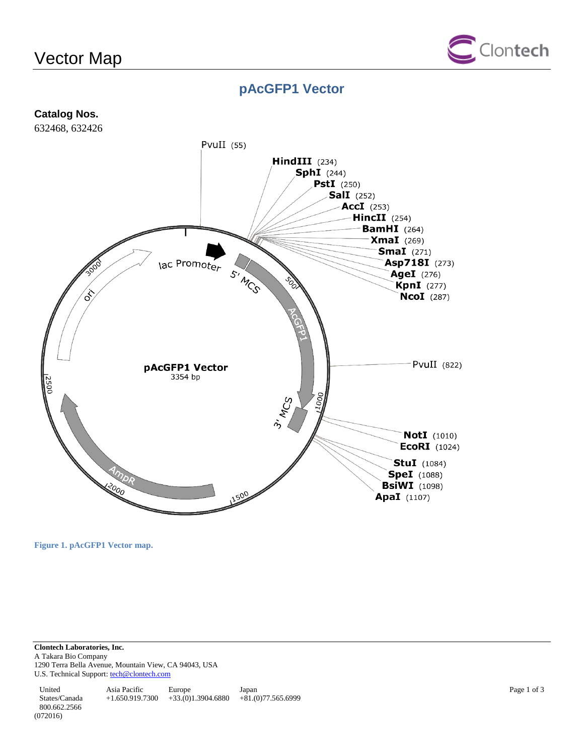

## **pAcGFP1 Vector**



**Figure 1. pAcGFP1 Vector map.**

**Clontech Laboratories, Inc.**  A Takara Bio Company 1290 Terra Bella Avenue, Mountain View, CA 94043, USA U.S. Technical Support[: tech@clontech.com](mailto:tech@clontech.com)

United States/Canada 800.662.2566 Asia Pacific +1.650.919.7300 +33.(0)1.3904.6880 Europe Japan  $+81(0)77.565.6999$ (072016)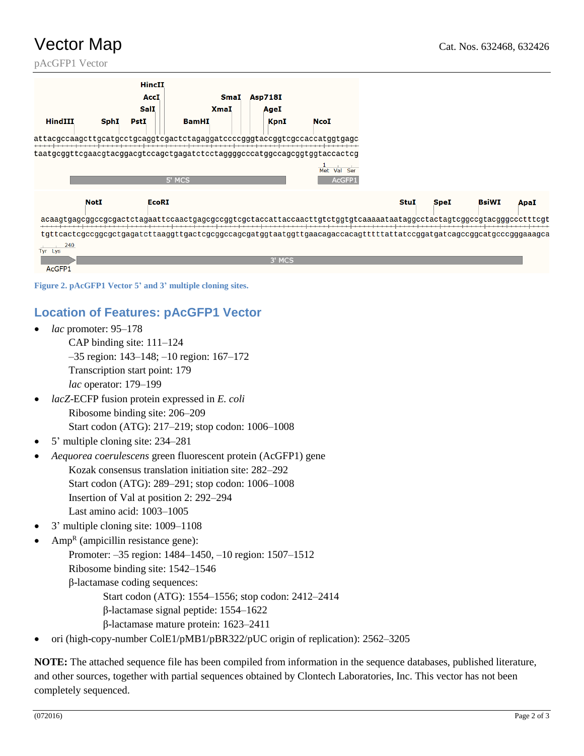## **Vector Map** Cat. Nos. 632468, 632426

pAcGFP1 Vector

| ApaI                                                                                                               |
|--------------------------------------------------------------------------------------------------------------------|
| acaagtgagcggccgcgactctagaattccaactgagcgccggtcgctaccattaccaacttgtctggtgtcaaaaataataggcctactagtcggccgtacgggccctttcgt |
| tgttcactcgccggcgctgagatcttaaggttgactcgcggccagcgatggtaatggttgaacagaccacagtttttattatccggatgatcagccggcatgcccgggaaagca |
|                                                                                                                    |
|                                                                                                                    |
|                                                                                                                    |
|                                                                                                                    |

**Figure 2. pAcGFP1 Vector 5' and 3' multiple cloning sites.**

## **Location of Features: pAcGFP1 Vector**

- *lac* promoter: 95–178 CAP binding site: 111–124 –35 region: 143–148; –10 region: 167–172 Transcription start point: 179 *lac* operator: 179–199
- *lacZ*-ECFP fusion protein expressed in *E. coli* Ribosome binding site: 206–209 Start codon (ATG): 217–219; stop codon: 1006–1008
- 5' multiple cloning site: 234–281
- *Aequorea coerulescens* green fluorescent protein (AcGFP1) gene Kozak consensus translation initiation site: 282–292 Start codon (ATG): 289–291; stop codon: 1006–1008 Insertion of Val at position 2: 292–294 Last amino acid: 1003–1005
- 3' multiple cloning site: 1009–1108
- Amp<sup>R</sup> (ampicillin resistance gene):
	- Promoter: –35 region: 1484–1450, –10 region: 1507–1512
	- Ribosome binding site: 1542–1546
	- β-lactamase coding sequences:
		- Start codon (ATG): 1554–1556; stop codon: 2412–2414
		- β-lactamase signal peptide: 1554–1622
		- β-lactamase mature protein: 1623–2411
- ori (high-copy-number ColE1/pMB1/pBR322/pUC origin of replication): 2562–3205

**NOTE:** The attached sequence file has been compiled from information in the sequence databases, published literature, and other sources, together with partial sequences obtained by Clontech Laboratories, Inc. This vector has not been completely sequenced.